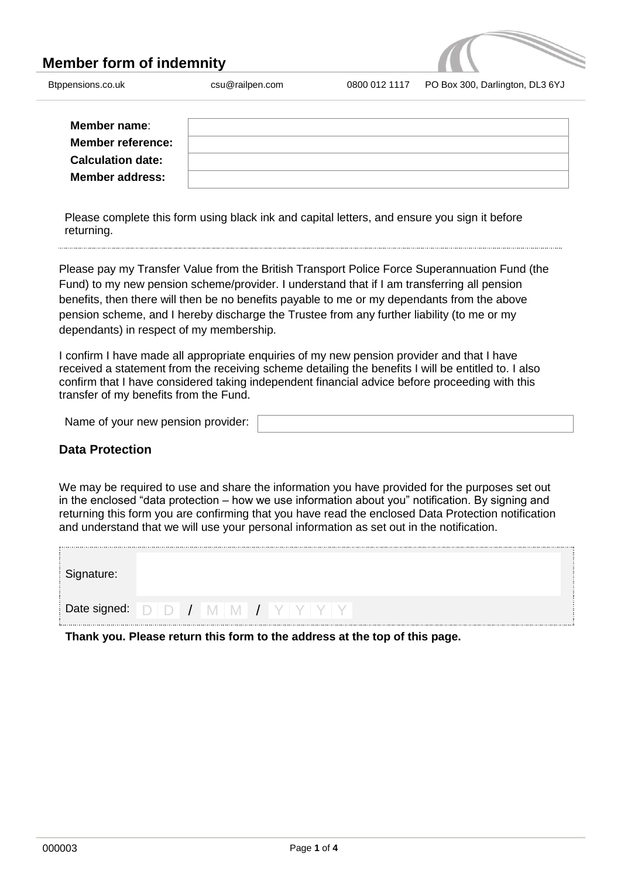# **Member form of indemnity**



| Member name:             |  |
|--------------------------|--|
| <b>Member reference:</b> |  |
| <b>Calculation date:</b> |  |
| <b>Member address:</b>   |  |

Please complete this form using black ink and capital letters, and ensure you sign it before returning.

Please pay my Transfer Value from the British Transport Police Force Superannuation Fund (the Fund) to my new pension scheme/provider. I understand that if I am transferring all pension benefits, then there will then be no benefits payable to me or my dependants from the above pension scheme, and I hereby discharge the Trustee from any further liability (to me or my dependants) in respect of my membership.

I confirm I have made all appropriate enquiries of my new pension provider and that I have received a statement from the receiving scheme detailing the benefits I will be entitled to. I also confirm that I have considered taking independent financial advice before proceeding with this transfer of my benefits from the Fund.

Name of your new pension provider:

## **Data Protection**

We may be required to use and share the information you have provided for the purposes set out in the enclosed "data protection – how we use information about you" notification. By signing and returning this form you are confirming that you have read the enclosed Data Protection notification and understand that we will use your personal information as set out in the notification.

| Signature: |  |  |  |  |  |  |
|------------|--|--|--|--|--|--|
|            |  |  |  |  |  |  |

**Thank you. Please return this form to the address at the top of this page.**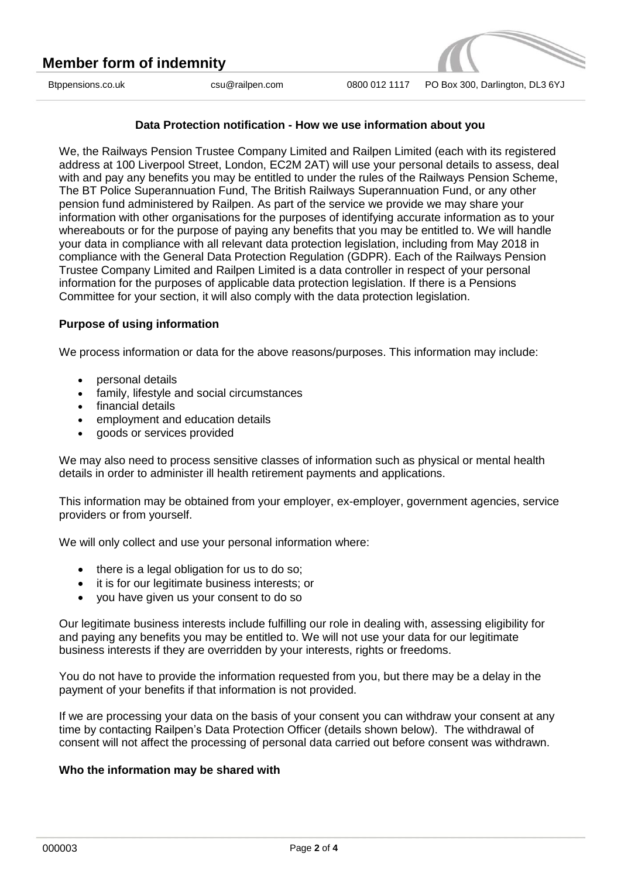

### **Data Protection notification - How we use information about you**

We, the Railways Pension Trustee Company Limited and Railpen Limited (each with its registered address at 100 Liverpool Street, London, EC2M 2AT) will use your personal details to assess, deal with and pay any benefits you may be entitled to under the rules of the Railways Pension Scheme, The BT Police Superannuation Fund, The British Railways Superannuation Fund, or any other pension fund administered by Railpen. As part of the service we provide we may share your information with other organisations for the purposes of identifying accurate information as to your whereabouts or for the purpose of paying any benefits that you may be entitled to. We will handle your data in compliance with all relevant data protection legislation, including from May 2018 in compliance with the General Data Protection Regulation (GDPR). Each of the Railways Pension Trustee Company Limited and Railpen Limited is a data controller in respect of your personal information for the purposes of applicable data protection legislation. If there is a Pensions Committee for your section, it will also comply with the data protection legislation.

#### **Purpose of using information**

We process information or data for the above reasons/purposes. This information may include:

- personal details
- family, lifestyle and social circumstances
- financial details
- employment and education details
- goods or services provided

We may also need to process sensitive classes of information such as physical or mental health details in order to administer ill health retirement payments and applications.

This information may be obtained from your employer, ex-employer, government agencies, service providers or from yourself.

We will only collect and use your personal information where:

- $\bullet$  there is a legal obligation for us to do so;
- it is for our legitimate business interests; or
- you have given us your consent to do so

Our legitimate business interests include fulfilling our role in dealing with, assessing eligibility for and paying any benefits you may be entitled to. We will not use your data for our legitimate business interests if they are overridden by your interests, rights or freedoms.

You do not have to provide the information requested from you, but there may be a delay in the payment of your benefits if that information is not provided.

If we are processing your data on the basis of your consent you can withdraw your consent at any time by contacting Railpen's Data Protection Officer (details shown below). The withdrawal of consent will not affect the processing of personal data carried out before consent was withdrawn.

#### **Who the information may be shared with**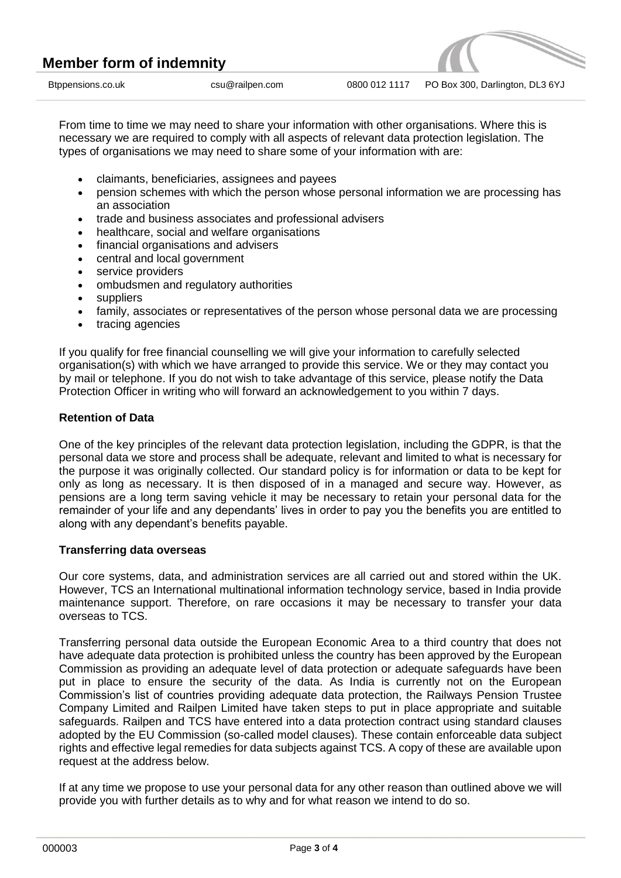From time to time we may need to share your information with other organisations. Where this is necessary we are required to comply with all aspects of relevant data protection legislation. The types of organisations we may need to share some of your information with are:

- claimants, beneficiaries, assignees and payees
- pension schemes with which the person whose personal information we are processing has an association
- trade and business associates and professional advisers
- healthcare, social and welfare organisations
- financial organisations and advisers
- central and local government
- service providers
- ombudsmen and regulatory authorities
- suppliers
- family, associates or representatives of the person whose personal data we are processing
- tracing agencies

If you qualify for free financial counselling we will give your information to carefully selected organisation(s) with which we have arranged to provide this service. We or they may contact you by mail or telephone. If you do not wish to take advantage of this service, please notify the Data Protection Officer in writing who will forward an acknowledgement to you within 7 days.

### **Retention of Data**

One of the key principles of the relevant data protection legislation, including the GDPR, is that the personal data we store and process shall be adequate, relevant and limited to what is necessary for the purpose it was originally collected. Our standard policy is for information or data to be kept for only as long as necessary. It is then disposed of in a managed and secure way. However, as pensions are a long term saving vehicle it may be necessary to retain your personal data for the remainder of your life and any dependants' lives in order to pay you the benefits you are entitled to along with any dependant's benefits payable.

#### **Transferring data overseas**

Our core systems, data, and administration services are all carried out and stored within the UK. However, TCS an International multinational information technology service, based in India provide maintenance support. Therefore, on rare occasions it may be necessary to transfer your data overseas to TCS.

Transferring personal data outside the European Economic Area to a third country that does not have adequate data protection is prohibited unless the country has been approved by the European Commission as providing an adequate level of data protection or adequate safeguards have been put in place to ensure the security of the data. As India is currently not on the European Commission's list of countries providing adequate data protection, the Railways Pension Trustee Company Limited and Railpen Limited have taken steps to put in place appropriate and suitable safeguards. Railpen and TCS have entered into a data protection contract using standard clauses adopted by the EU Commission (so-called model clauses). These contain enforceable data subject rights and effective legal remedies for data subjects against TCS. A copy of these are available upon request at the address below.

If at any time we propose to use your personal data for any other reason than outlined above we will provide you with further details as to why and for what reason we intend to do so.